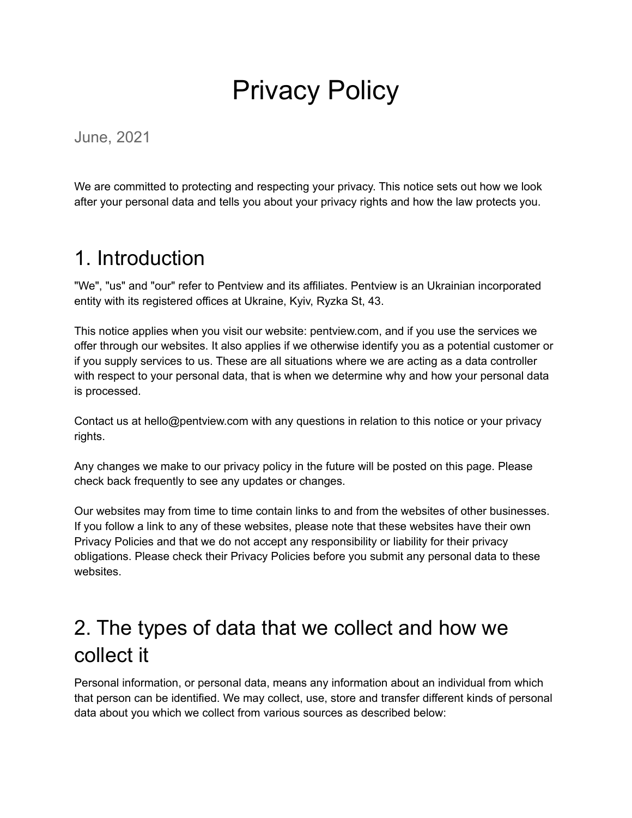# Privacy Policy

June, 2021

We are committed to protecting and respecting your privacy. This notice sets out how we look after your personal data and tells you about your privacy rights and how the law protects you.

### 1. Introduction

"We", "us" and "our" refer to Pentview and its affiliates. Pentview is an Ukrainian incorporated entity with its registered offices at Ukraine, Kyiv, Ryzka St, 43.

This notice applies when you visit our website: pentview.com, and if you use the services we offer through our websites. It also applies if we otherwise identify you as a potential customer or if you supply services to us. These are all situations where we are acting as a data controller with respect to your personal data, that is when we determine why and how your personal data is processed.

Contact us at hello@pentview.com with any questions in relation to this notice or your privacy rights.

Any changes we make to our privacy policy in the future will be posted on this page. Please check back frequently to see any updates or changes.

Our websites may from time to time contain links to and from the websites of other businesses. If you follow a link to any of these websites, please note that these websites have their own Privacy Policies and that we do not accept any responsibility or liability for their privacy obligations. Please check their Privacy Policies before you submit any personal data to these websites.

# 2. The types of data that we collect and how we collect it

Personal information, or personal data, means any information about an individual from which that person can be identified. We may collect, use, store and transfer different kinds of personal data about you which we collect from various sources as described below: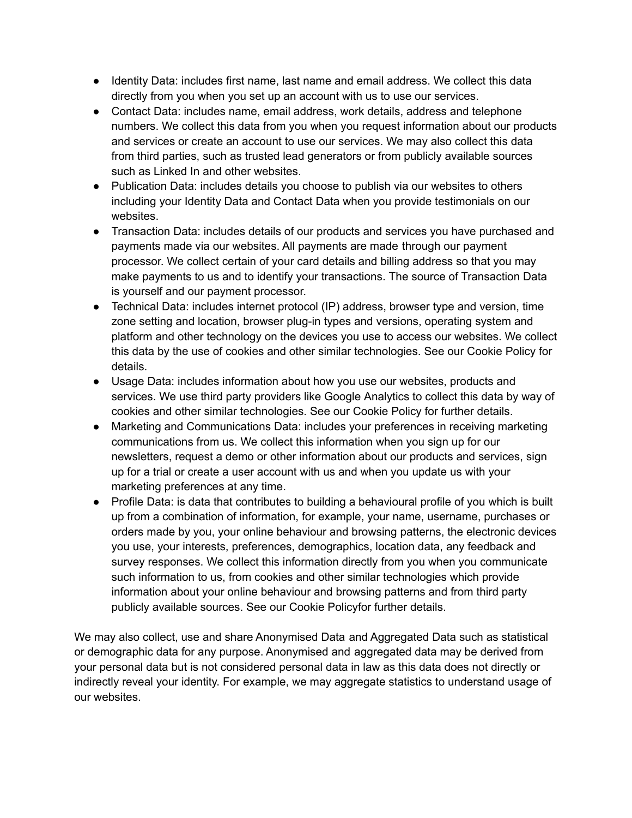- Identity Data: includes first name, last name and email address. We collect this data directly from you when you set up an account with us to use our services.
- Contact Data: includes name, email address, work details, address and telephone numbers. We collect this data from you when you request information about our products and services or create an account to use our services. We may also collect this data from third parties, such as trusted lead generators or from publicly available sources such as Linked In and other websites.
- Publication Data: includes details you choose to publish via our websites to others including your Identity Data and Contact Data when you provide testimonials on our websites.
- Transaction Data: includes details of our products and services you have purchased and payments made via our websites. All payments are made through our payment processor. We collect certain of your card details and billing address so that you may make payments to us and to identify your transactions. The source of Transaction Data is yourself and our payment processor.
- Technical Data: includes internet protocol (IP) address, browser type and version, time zone setting and location, browser plug-in types and versions, operating system and platform and other technology on the devices you use to access our websites. We collect this data by the use of cookies and other similar technologies. See our Cookie Policy for details.
- Usage Data: includes information about how you use our websites, products and services. We use third party providers like Google Analytics to collect this data by way of cookies and other similar technologies. See our Cookie Policy for further details.
- Marketing and Communications Data: includes your preferences in receiving marketing communications from us. We collect this information when you sign up for our newsletters, request a demo or other information about our products and services, sign up for a trial or create a user account with us and when you update us with your marketing preferences at any time.
- Profile Data: is data that contributes to building a behavioural profile of you which is built up from a combination of information, for example, your name, username, purchases or orders made by you, your online behaviour and browsing patterns, the electronic devices you use, your interests, preferences, demographics, location data, any feedback and survey responses. We collect this information directly from you when you communicate such information to us, from cookies and other similar technologies which provide information about your online behaviour and browsing patterns and from third party publicly available sources. See our Cookie Policyfor further details.

We may also collect, use and share Anonymised Data and Aggregated Data such as statistical or demographic data for any purpose. Anonymised and aggregated data may be derived from your personal data but is not considered personal data in law as this data does not directly or indirectly reveal your identity. For example, we may aggregate statistics to understand usage of our websites.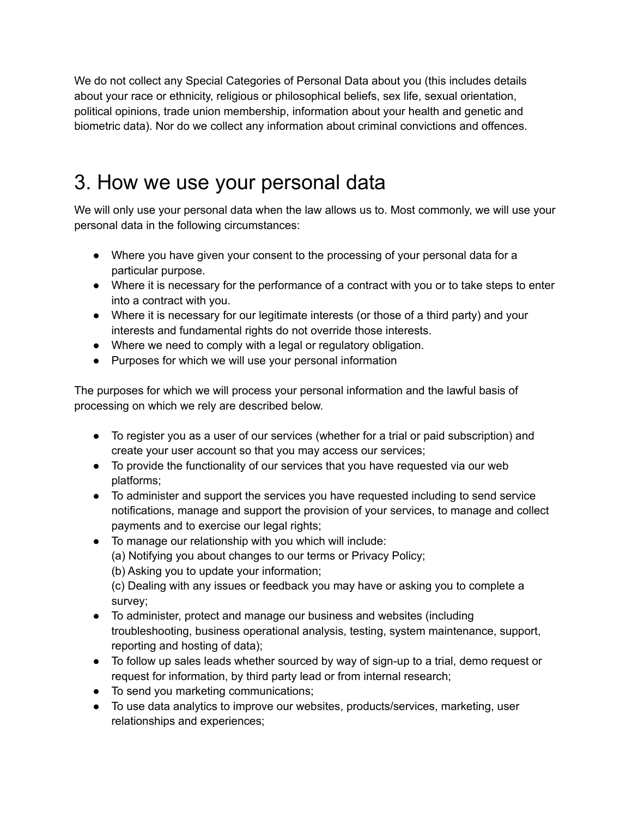We do not collect any Special Categories of Personal Data about you (this includes details about your race or ethnicity, religious or philosophical beliefs, sex life, sexual orientation, political opinions, trade union membership, information about your health and genetic and biometric data). Nor do we collect any information about criminal convictions and offences.

# 3. How we use your personal data

We will only use your personal data when the law allows us to. Most commonly, we will use your personal data in the following circumstances:

- Where you have given your consent to the processing of your personal data for a particular purpose.
- Where it is necessary for the performance of a contract with you or to take steps to enter into a contract with you.
- Where it is necessary for our legitimate interests (or those of a third party) and your interests and fundamental rights do not override those interests.
- Where we need to comply with a legal or regulatory obligation.
- Purposes for which we will use your personal information

The purposes for which we will process your personal information and the lawful basis of processing on which we rely are described below.

- To register you as a user of our services (whether for a trial or paid subscription) and create your user account so that you may access our services;
- To provide the functionality of our services that you have requested via our web platforms;
- To administer and support the services you have requested including to send service notifications, manage and support the provision of your services, to manage and collect payments and to exercise our legal rights;
- To manage our relationship with you which will include:
	- (a) Notifying you about changes to our terms or Privacy Policy;
	- (b) Asking you to update your information;

(c) Dealing with any issues or feedback you may have or asking you to complete a survey;

- To administer, protect and manage our business and websites (including troubleshooting, business operational analysis, testing, system maintenance, support, reporting and hosting of data);
- To follow up sales leads whether sourced by way of sign-up to a trial, demo request or request for information, by third party lead or from internal research;
- To send you marketing communications;
- To use data analytics to improve our websites, products/services, marketing, user relationships and experiences;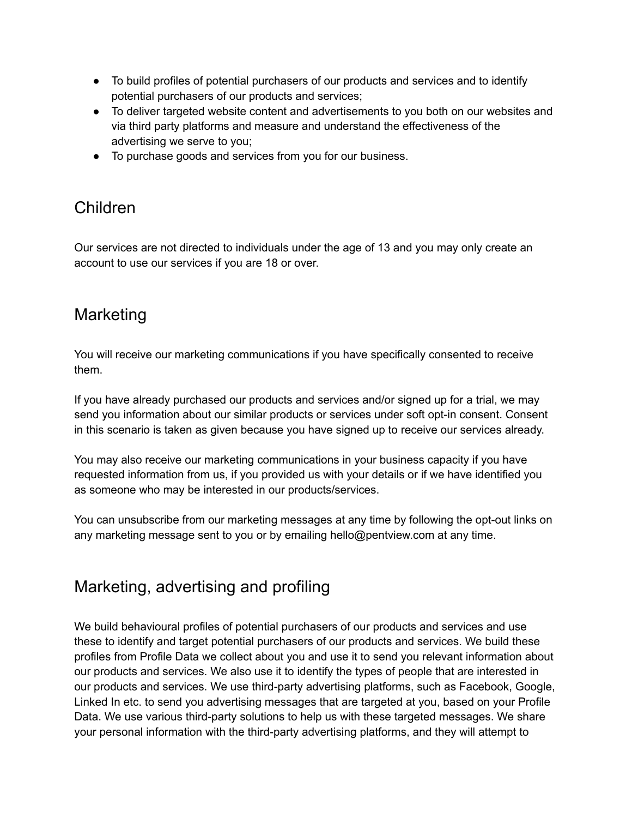- To build profiles of potential purchasers of our products and services and to identify potential purchasers of our products and services;
- To deliver targeted website content and advertisements to you both on our websites and via third party platforms and measure and understand the effectiveness of the advertising we serve to you;
- To purchase goods and services from you for our business.

### Children

Our services are not directed to individuals under the age of 13 and you may only create an account to use our services if you are 18 or over.

### Marketing

You will receive our marketing communications if you have specifically consented to receive them.

If you have already purchased our products and services and/or signed up for a trial, we may send you information about our similar products or services under soft opt-in consent. Consent in this scenario is taken as given because you have signed up to receive our services already.

You may also receive our marketing communications in your business capacity if you have requested information from us, if you provided us with your details or if we have identified you as someone who may be interested in our products/services.

You can unsubscribe from our marketing messages at any time by following the opt-out links on any marketing message sent to you or by emailing hello@pentview.com at any time.

### Marketing, advertising and profiling

We build behavioural profiles of potential purchasers of our products and services and use these to identify and target potential purchasers of our products and services. We build these profiles from Profile Data we collect about you and use it to send you relevant information about our products and services. We also use it to identify the types of people that are interested in our products and services. We use third-party advertising platforms, such as Facebook, Google, Linked In etc. to send you advertising messages that are targeted at you, based on your Profile Data. We use various third-party solutions to help us with these targeted messages. We share your personal information with the third-party advertising platforms, and they will attempt to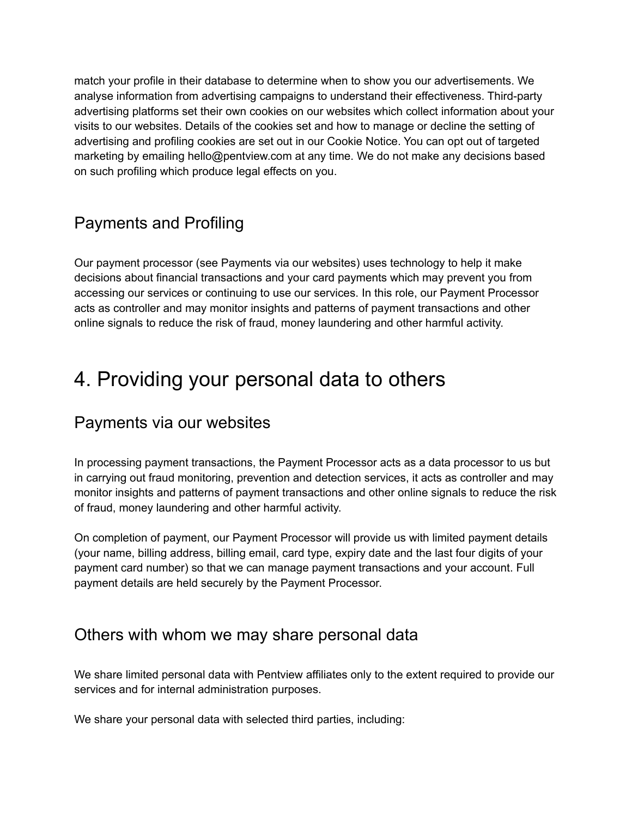match your profile in their database to determine when to show you our advertisements. We analyse information from advertising campaigns to understand their effectiveness. Third-party advertising platforms set their own cookies on our websites which collect information about your visits to our websites. Details of the cookies set and how to manage or decline the setting of advertising and profiling cookies are set out in our Cookie Notice. You can opt out of targeted marketing by emailing hello@pentview.com at any time. We do not make any decisions based on such profiling which produce legal effects on you.

### Payments and Profiling

Our payment processor (see Payments via our websites) uses technology to help it make decisions about financial transactions and your card payments which may prevent you from accessing our services or continuing to use our services. In this role, our Payment Processor acts as controller and may monitor insights and patterns of payment transactions and other online signals to reduce the risk of fraud, money laundering and other harmful activity.

# 4. Providing your personal data to others

#### Payments via our websites

In processing payment transactions, the Payment Processor acts as a data processor to us but in carrying out fraud monitoring, prevention and detection services, it acts as controller and may monitor insights and patterns of payment transactions and other online signals to reduce the risk of fraud, money laundering and other harmful activity.

On completion of payment, our Payment Processor will provide us with limited payment details (your name, billing address, billing email, card type, expiry date and the last four digits of your payment card number) so that we can manage payment transactions and your account. Full payment details are held securely by the Payment Processor.

#### Others with whom we may share personal data

We share limited personal data with Pentview affiliates only to the extent required to provide our services and for internal administration purposes.

We share your personal data with selected third parties, including: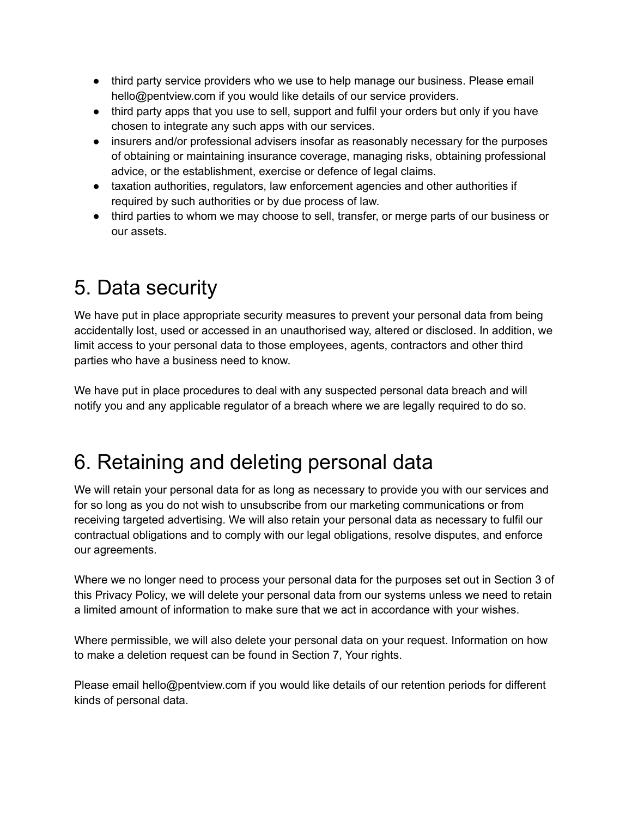- third party service providers who we use to help manage our business. Please email hello@pentview.com if you would like details of our service providers.
- third party apps that you use to sell, support and fulfil your orders but only if you have chosen to integrate any such apps with our services.
- insurers and/or professional advisers insofar as reasonably necessary for the purposes of obtaining or maintaining insurance coverage, managing risks, obtaining professional advice, or the establishment, exercise or defence of legal claims.
- taxation authorities, regulators, law enforcement agencies and other authorities if required by such authorities or by due process of law.
- third parties to whom we may choose to sell, transfer, or merge parts of our business or our assets.

# 5. Data security

We have put in place appropriate security measures to prevent your personal data from being accidentally lost, used or accessed in an unauthorised way, altered or disclosed. In addition, we limit access to your personal data to those employees, agents, contractors and other third parties who have a business need to know.

We have put in place procedures to deal with any suspected personal data breach and will notify you and any applicable regulator of a breach where we are legally required to do so.

# 6. Retaining and deleting personal data

We will retain your personal data for as long as necessary to provide you with our services and for so long as you do not wish to unsubscribe from our marketing communications or from receiving targeted advertising. We will also retain your personal data as necessary to fulfil our contractual obligations and to comply with our legal obligations, resolve disputes, and enforce our agreements.

Where we no longer need to process your personal data for the purposes set out in Section 3 of this Privacy Policy, we will delete your personal data from our systems unless we need to retain a limited amount of information to make sure that we act in accordance with your wishes.

Where permissible, we will also delete your personal data on your request. Information on how to make a deletion request can be found in Section 7, Your rights.

Please email hello@pentview.com if you would like details of our retention periods for different kinds of personal data.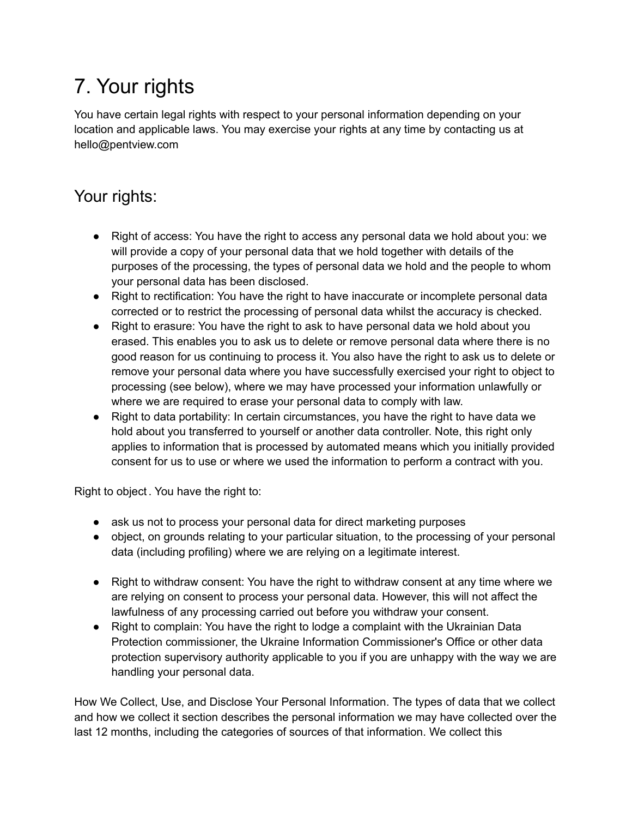# 7. Your rights

You have certain legal rights with respect to your personal information depending on your location and applicable laws. You may exercise your rights at any time by contacting us at hello@pentview.com

### Your rights:

- Right of access: You have the right to access any personal data we hold about you: we will provide a copy of your personal data that we hold together with details of the purposes of the processing, the types of personal data we hold and the people to whom your personal data has been disclosed.
- Right to rectification: You have the right to have inaccurate or incomplete personal data corrected or to restrict the processing of personal data whilst the accuracy is checked.
- Right to erasure: You have the right to ask to have personal data we hold about you erased. This enables you to ask us to delete or remove personal data where there is no good reason for us continuing to process it. You also have the right to ask us to delete or remove your personal data where you have successfully exercised your right to object to processing (see below), where we may have processed your information unlawfully or where we are required to erase your personal data to comply with law.
- Right to data portability: In certain circumstances, you have the right to have data we hold about you transferred to yourself or another data controller. Note, this right only applies to information that is processed by automated means which you initially provided consent for us to use or where we used the information to perform a contract with you.

Right to object . You have the right to:

- ask us not to process your personal data for direct marketing purposes
- object, on grounds relating to your particular situation, to the processing of your personal data (including profiling) where we are relying on a legitimate interest.
- Right to withdraw consent: You have the right to withdraw consent at any time where we are relying on consent to process your personal data. However, this will not affect the lawfulness of any processing carried out before you withdraw your consent.
- Right to complain: You have the right to lodge a complaint with the Ukrainian Data Protection commissioner, the Ukraine Information Commissioner's Office or other data protection supervisory authority applicable to you if you are unhappy with the way we are handling your personal data.

How We Collect, Use, and Disclose Your Personal Information. The types of data that we collect and how we collect it section describes the personal information we may have collected over the last 12 months, including the categories of sources of that information. We collect this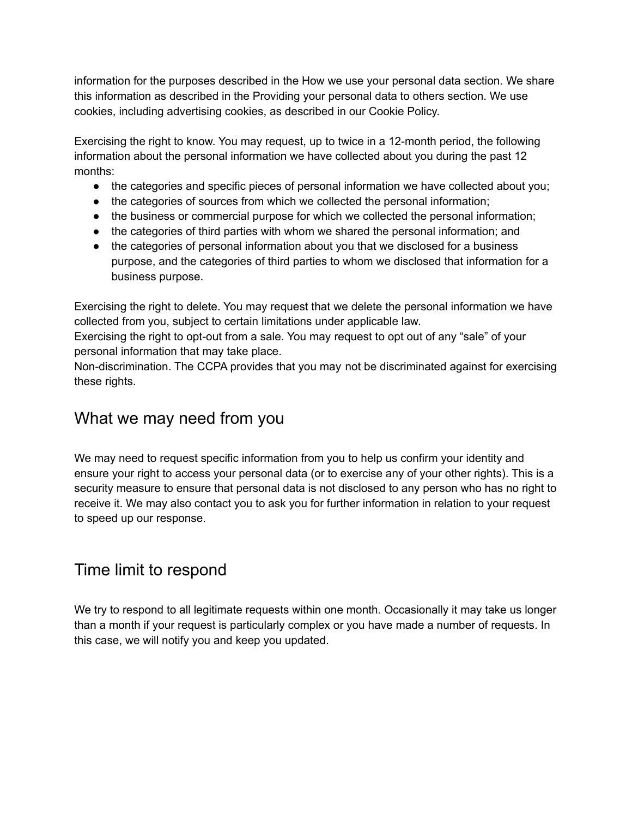information for the purposes described in the How we use your personal data section. We share this information as described in the Providing your personal data to others section. We use cookies, including advertising cookies, as described in our Cookie Policy.

Exercising the right to know. You may request, up to twice in a 12-month period, the following information about the personal information we have collected about you during the past 12 months:

- the categories and specific pieces of personal information we have collected about you;
- the categories of sources from which we collected the personal information;
- the business or commercial purpose for which we collected the personal information;
- the categories of third parties with whom we shared the personal information; and
- the categories of personal information about you that we disclosed for a business purpose, and the categories of third parties to whom we disclosed that information for a business purpose.

Exercising the right to delete. You may request that we delete the personal information we have collected from you, subject to certain limitations under applicable law.

Exercising the right to opt-out from a sale. You may request to opt out of any "sale" of your personal information that may take place.

Non-discrimination. The CCPA provides that you may not be discriminated against for exercising these rights.

### What we may need from you

We may need to request specific information from you to help us confirm your identity and ensure your right to access your personal data (or to exercise any of your other rights). This is a security measure to ensure that personal data is not disclosed to any person who has no right to receive it. We may also contact you to ask you for further information in relation to your request to speed up our response.

### Time limit to respond

We try to respond to all legitimate requests within one month. Occasionally it may take us longer than a month if your request is particularly complex or you have made a number of requests. In this case, we will notify you and keep you updated.